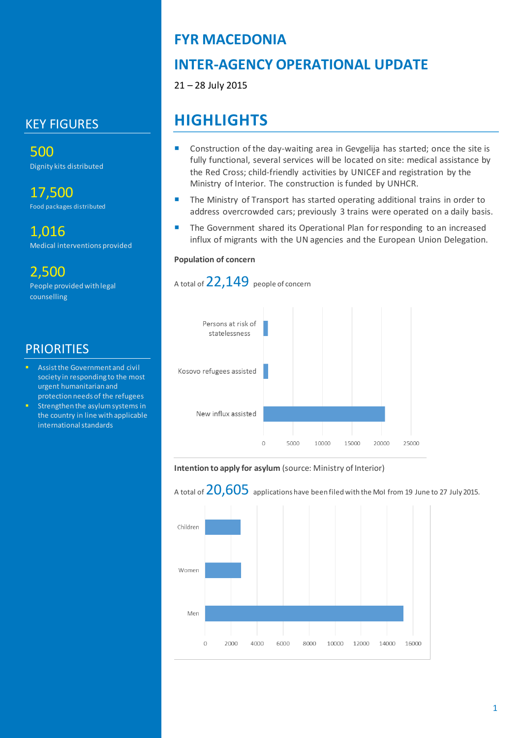### KEY FIGURES

500 Dignity kits distributed

17,500 Food packages distributed

1,016 Medical interventions provided

2,500 People provided with legal counselling

### **PRIORITIES**

- Assist the Government and civil society in responding to the most urgent humanitarian and protection needs of the refugees
- Strengthen the asylum systems in the country in line with applicable international standards

# **FYR MACEDONIA**

# **INTER-AGENCY OPERATIONAL UPDATE**

21 – 28 July 2015

# **HIGHLIGHTS**

- Construction of the day-waiting area in Gevgelija has started; once the site is fully functional, several services will be located on site: medical assistance by the Red Cross; child-friendly activities by UNICEF and registration by the Ministry of Interior. The construction is funded by UNHCR.
- The Ministry of Transport has started operating additional trains in order to address overcrowded cars; previously 3 trains were operated on a daily basis.
- **The Government shared its Operational Plan for responding to an increased** influx of migrants with the UN agencies and the European Union Delegation.

#### **Population of concern**

A total of 22,149 people of concern



#### **Intention to apply for asylum** (source: Ministry of Interior)

A total of  $20,605$  applications have been filed with the MoI from 19 June to 27 July 2015.

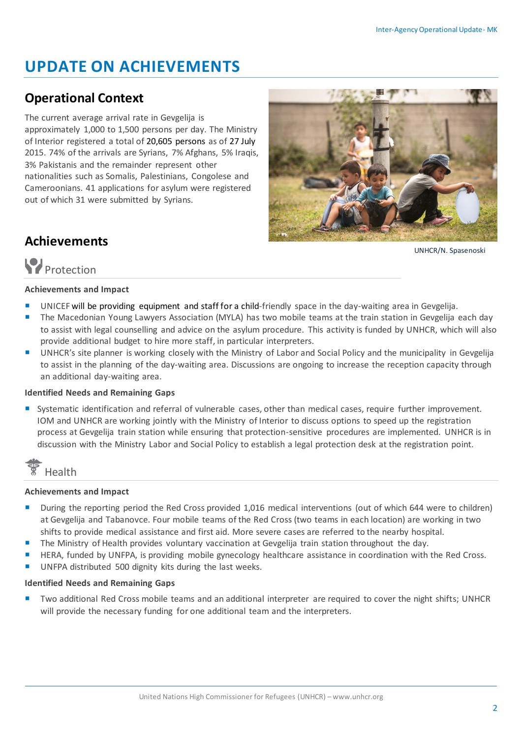# **UPDATE ON ACHIEVEMENTS**

### **Operational Context**

The current average arrival rate in Gevgelija is approximately 1,000 to 1,500 persons per day. The Ministry of Interior registered a total of 20,605 persons as of 27 July 2015. 74% of the arrivals are Syrians, 7% Afghans, 5% Iraqis, 3% Pakistanis and the remainder represent other nationalities such as Somalis, Palestinians, Congolese and Cameroonians. 41 applications for asylum were registered out of which 31 were submitted by Syrians.



UNHCR/N. Spasenoski

# **Achievements**

# **P**rotection

#### **Achievements and Impact**

- UNICEF will be providing equipment and staff for a child-friendly space in the day-waiting area in Gevgelija.
- The Macedonian Young Lawyers Association (MYLA) has two mobile teams at the train station in Gevgelija each day to assist with legal counselling and advice on the asylum procedure. This activity is funded by UNHCR, which will also provide additional budget to hire more staff, in particular interpreters.
- UNHCR's site planner is working closely with the Ministry of Labor and Social Policy and the municipality in Gevgelija to assist in the planning of the day-waiting area. Discussions are ongoing to increase the reception capacity through an additional day-waiting area.

#### **Identified Needs and Remaining Gaps**

Systematic identification and referral of vulnerable cases, other than medical cases, require further improvement. IOM and UNHCR are working jointly with the Ministry of Interior to discuss options to speed up the registration process at Gevgelija train station while ensuring that protection-sensitive procedures are implemented. UNHCR is in discussion with the Ministry Labor and Social Policy to establish a legal protection desk at the registration point.



#### **Achievements and Impact**

- **During the reporting period the Red Cross provided 1,016 medical interventions (out of which 644 were to children)** at Gevgelija and Tabanovce. Four mobile teams of the Red Cross (two teams in each location) are working in two shifts to provide medical assistance and first aid. More severe cases are referred to the nearby hospital.
- The Ministry of Health provides voluntary vaccination at Gevgelija train station throughout the day.
- HERA, funded by UNFPA, is providing mobile gynecology healthcare assistance in coordination with the Red Cross.
- UNFPA distributed 500 dignity kits during the last weeks.

#### **Identified Needs and Remaining Gaps**

 Two additional Red Cross mobile teams and an additional interpreter are required to cover the night shifts; UNHCR will provide the necessary funding for one additional team and the interpreters.